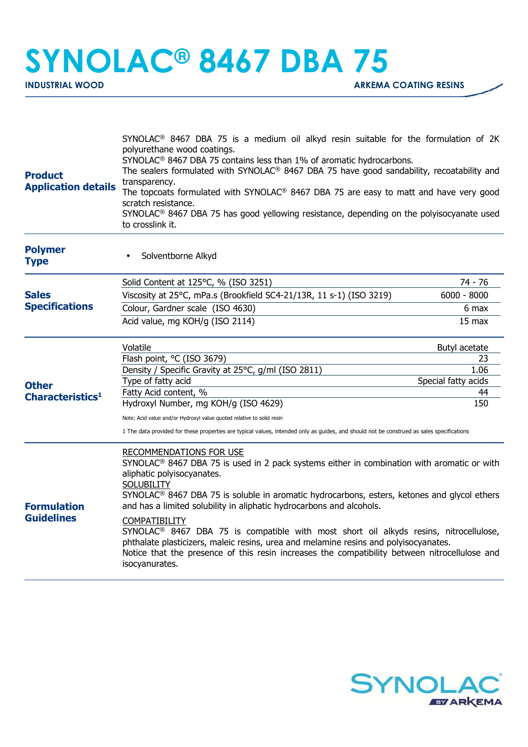## **SYNOLAC® 8467 DBA 75**

| <b>Product</b><br><b>Application details</b>                                          | SYNOLAC <sup>®</sup> 8467 DBA 75 is a medium oil alkyd resin suitable for the formulation of 2K<br>polyurethane wood coatings.<br>SYNOLAC <sup>®</sup> 8467 DBA 75 contains less than 1% of aromatic hydrocarbons.<br>The sealers formulated with SYNOLAC <sup>®</sup> 8467 DBA 75 have good sandability, recoatability and<br>transparency.<br>The topcoats formulated with SYNOLAC® 8467 DBA 75 are easy to matt and have very good<br>scratch resistance.<br>SYNOLAC <sup>®</sup> 8467 DBA 75 has good yellowing resistance, depending on the polyisocyanate used<br>to crosslink it.                                                                                                              |                           |
|---------------------------------------------------------------------------------------|-------------------------------------------------------------------------------------------------------------------------------------------------------------------------------------------------------------------------------------------------------------------------------------------------------------------------------------------------------------------------------------------------------------------------------------------------------------------------------------------------------------------------------------------------------------------------------------------------------------------------------------------------------------------------------------------------------|---------------------------|
| <b>Polymer</b><br><b>Type</b>                                                         | Solventborne Alkyd                                                                                                                                                                                                                                                                                                                                                                                                                                                                                                                                                                                                                                                                                    |                           |
|                                                                                       | Solid Content at 125°C, % (ISO 3251)                                                                                                                                                                                                                                                                                                                                                                                                                                                                                                                                                                                                                                                                  | 74 - 76                   |
| <b>Sales</b><br><b>Specifications</b><br><b>Other</b><br>Characteristics <sup>1</sup> | Viscosity at 25°C, mPa.s (Brookfield SC4-21/13R, 11 s-1) (ISO 3219)                                                                                                                                                                                                                                                                                                                                                                                                                                                                                                                                                                                                                                   | $6000 - 8000$             |
|                                                                                       | Colour, Gardner scale (ISO 4630)                                                                                                                                                                                                                                                                                                                                                                                                                                                                                                                                                                                                                                                                      | 6 max                     |
|                                                                                       | Acid value, mg KOH/g (ISO 2114)                                                                                                                                                                                                                                                                                                                                                                                                                                                                                                                                                                                                                                                                       | $15$ max                  |
|                                                                                       | Volatile                                                                                                                                                                                                                                                                                                                                                                                                                                                                                                                                                                                                                                                                                              | Butyl acetate             |
|                                                                                       | Flash point, °C (ISO 3679)                                                                                                                                                                                                                                                                                                                                                                                                                                                                                                                                                                                                                                                                            | 23                        |
|                                                                                       | Density / Specific Gravity at 25°C, g/ml (ISO 2811)                                                                                                                                                                                                                                                                                                                                                                                                                                                                                                                                                                                                                                                   | 1.06                      |
|                                                                                       | Type of fatty acid<br>Fatty Acid content, %                                                                                                                                                                                                                                                                                                                                                                                                                                                                                                                                                                                                                                                           | Special fatty acids<br>44 |
|                                                                                       | Hydroxyl Number, mg KOH/g (ISO 4629)                                                                                                                                                                                                                                                                                                                                                                                                                                                                                                                                                                                                                                                                  | 150                       |
|                                                                                       |                                                                                                                                                                                                                                                                                                                                                                                                                                                                                                                                                                                                                                                                                                       |                           |
|                                                                                       | Note: Acid value and/or Hydroxyl value quoted relative to solid resin<br>1 The data provided for these properties are typical values, intended only as guides, and should not be construed as sales specifications                                                                                                                                                                                                                                                                                                                                                                                                                                                                                    |                           |
| <b>Formulation</b><br><b>Guidelines</b>                                               | RECOMMENDATIONS FOR USE<br>$SYNOLAC®$ 8467 DBA 75 is used in 2 pack systems either in combination with aromatic or with<br>aliphatic polyisocyanates.<br><b>SOLUBILITY</b><br>SYNOLAC <sup>®</sup> 8467 DBA 75 is soluble in aromatic hydrocarbons, esters, ketones and glycol ethers<br>and has a limited solubility in aliphatic hydrocarbons and alcohols.<br><b>COMPATIBILITY</b><br>SYNOLAC <sup>®</sup> 8467 DBA 75 is compatible with most short oil alkyds resins, nitrocellulose,<br>phthalate plasticizers, maleic resins, urea and melamine resins and polyisocyanates.<br>Notice that the presence of this resin increases the compatibility between nitrocellulose and<br>isocyanurates. |                           |